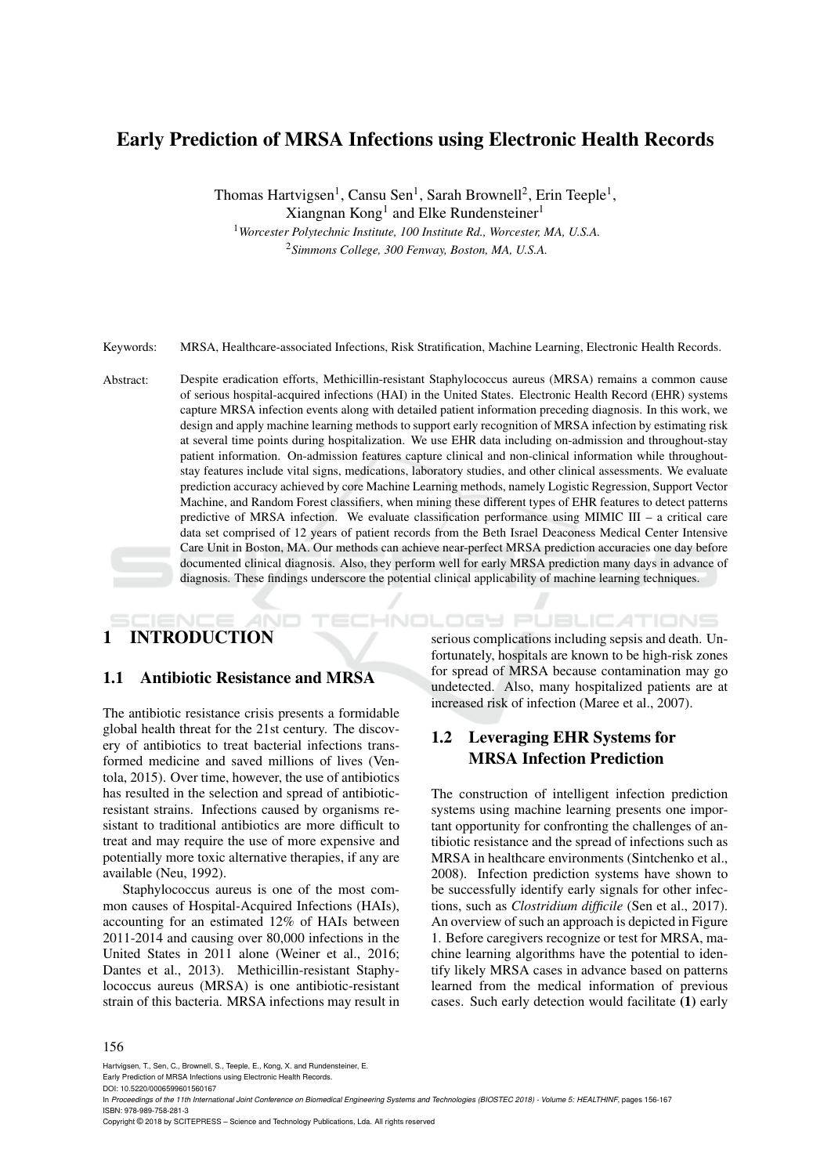# Early Prediction of MRSA Infections using Electronic Health Records

Thomas Hartvigsen<sup>1</sup>, Cansu Sen<sup>1</sup>, Sarah Brownell<sup>2</sup>, Erin Teeple<sup>1</sup>, Xiangnan Kong<sup>1</sup> and Elke Rundensteiner<sup>1</sup>

<sup>1</sup>*Worcester Polytechnic Institute, 100 Institute Rd., Worcester, MA, U.S.A.* <sup>2</sup>*Simmons College, 300 Fenway, Boston, MA, U.S.A.*

Keywords: MRSA, Healthcare-associated Infections, Risk Stratification, Machine Learning, Electronic Health Records.

Abstract: Despite eradication efforts, Methicillin-resistant Staphylococcus aureus (MRSA) remains a common cause of serious hospital-acquired infections (HAI) in the United States. Electronic Health Record (EHR) systems capture MRSA infection events along with detailed patient information preceding diagnosis. In this work, we design and apply machine learning methods to support early recognition of MRSA infection by estimating risk at several time points during hospitalization. We use EHR data including on-admission and throughout-stay patient information. On-admission features capture clinical and non-clinical information while throughoutstay features include vital signs, medications, laboratory studies, and other clinical assessments. We evaluate prediction accuracy achieved by core Machine Learning methods, namely Logistic Regression, Support Vector Machine, and Random Forest classifiers, when mining these different types of EHR features to detect patterns predictive of MRSA infection. We evaluate classification performance using MIMIC III – a critical care data set comprised of 12 years of patient records from the Beth Israel Deaconess Medical Center Intensive Care Unit in Boston, MA. Our methods can achieve near-perfect MRSA prediction accuracies one day before documented clinical diagnosis. Also, they perform well for early MRSA prediction many days in advance of diagnosis. These findings underscore the potential clinical applicability of machine learning techniques.

# 1 INTRODUCTION

## 1.1 Antibiotic Resistance and MRSA

The antibiotic resistance crisis presents a formidable global health threat for the 21st century. The discovery of antibiotics to treat bacterial infections transformed medicine and saved millions of lives (Ventola, 2015). Over time, however, the use of antibiotics has resulted in the selection and spread of antibioticresistant strains. Infections caused by organisms resistant to traditional antibiotics are more difficult to treat and may require the use of more expensive and potentially more toxic alternative therapies, if any are available (Neu, 1992).

Staphylococcus aureus is one of the most common causes of Hospital-Acquired Infections (HAIs), accounting for an estimated 12% of HAIs between 2011-2014 and causing over 80,000 infections in the United States in 2011 alone (Weiner et al., 2016; Dantes et al., 2013). Methicillin-resistant Staphylococcus aureus (MRSA) is one antibiotic-resistant strain of this bacteria. MRSA infections may result in

serious complications including sepsis and death. Unfortunately, hospitals are known to be high-risk zones for spread of MRSA because contamination may go undetected. Also, many hospitalized patients are at increased risk of infection (Maree et al., 2007).

# 1.2 Leveraging EHR Systems for MRSA Infection Prediction

HNOLOGY PUBLICATIONS

The construction of intelligent infection prediction systems using machine learning presents one important opportunity for confronting the challenges of antibiotic resistance and the spread of infections such as MRSA in healthcare environments (Sintchenko et al., 2008). Infection prediction systems have shown to be successfully identify early signals for other infections, such as *Clostridium difficile* (Sen et al., 2017). An overview of such an approach is depicted in Figure 1. Before caregivers recognize or test for MRSA, machine learning algorithms have the potential to identify likely MRSA cases in advance based on patterns learned from the medical information of previous cases. Such early detection would facilitate (1) early

#### 156

Hartvigsen, T., Sen, C., Brownell, S., Teeple, E., Kong, X. and Rundensteiner, E. Early Prediction of MRSA Infections using Electronic Health Records.

DOI: 10.5220/0006599601560167

Copyright © 2018 by SCITEPRESS – Science and Technology Publications, Lda. All rights reserved

In *Proceedings of the 11th International Joint Conference on Biomedical Engineering Systems and Technologies (BIOSTEC 2018) - Volume 5: HEALTHINF*, pages 156-167 ISBN: 978-989-758-281-3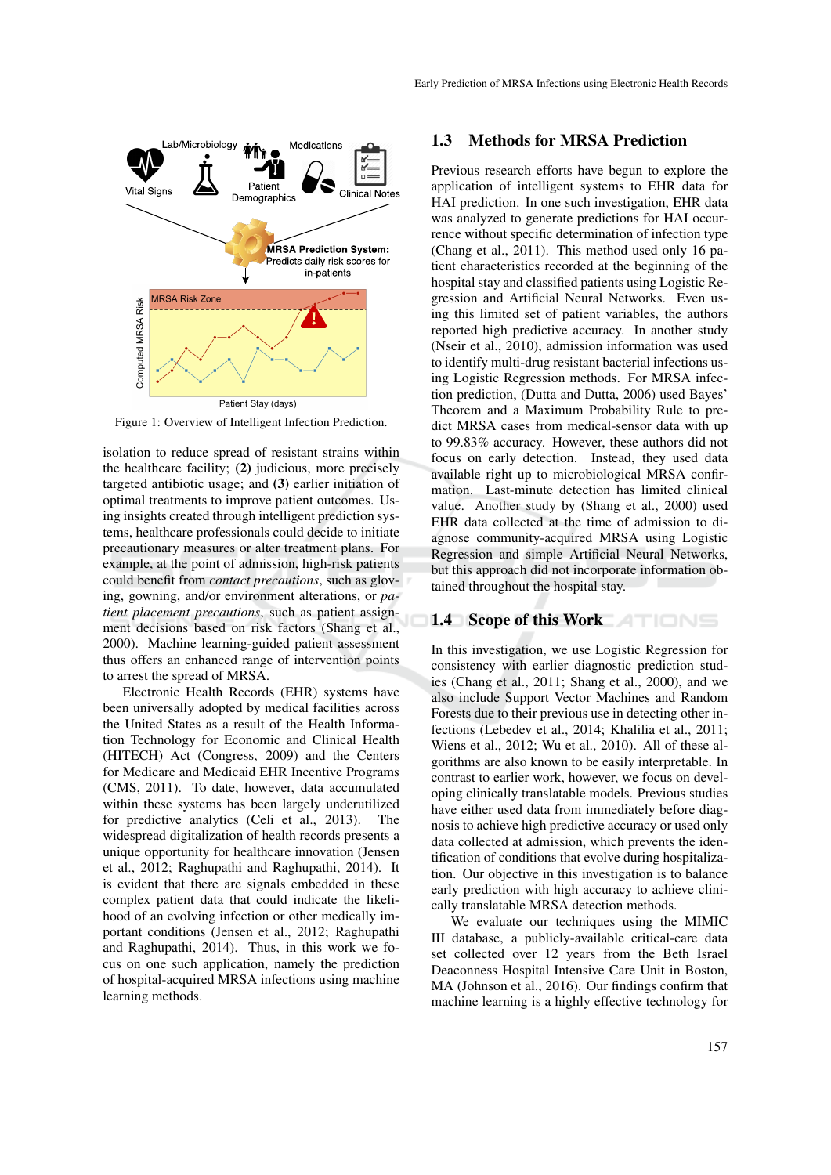



Figure 1: Overview of Intelligent Infection Prediction.

isolation to reduce spread of resistant strains within the healthcare facility; (2) judicious, more precisely targeted antibiotic usage; and (3) earlier initiation of optimal treatments to improve patient outcomes. Using insights created through intelligent prediction systems, healthcare professionals could decide to initiate precautionary measures or alter treatment plans. For example, at the point of admission, high-risk patients could benefit from *contact precautions*, such as gloving, gowning, and/or environment alterations, or *patient placement precautions*, such as patient assignment decisions based on risk factors (Shang et al., 2000). Machine learning-guided patient assessment thus offers an enhanced range of intervention points to arrest the spread of MRSA.

Electronic Health Records (EHR) systems have been universally adopted by medical facilities across the United States as a result of the Health Information Technology for Economic and Clinical Health (HITECH) Act (Congress, 2009) and the Centers for Medicare and Medicaid EHR Incentive Programs (CMS, 2011). To date, however, data accumulated within these systems has been largely underutilized for predictive analytics (Celi et al., 2013). The widespread digitalization of health records presents a unique opportunity for healthcare innovation (Jensen et al., 2012; Raghupathi and Raghupathi, 2014). It is evident that there are signals embedded in these complex patient data that could indicate the likelihood of an evolving infection or other medically important conditions (Jensen et al., 2012; Raghupathi and Raghupathi, 2014). Thus, in this work we focus on one such application, namely the prediction of hospital-acquired MRSA infections using machine learning methods.

## 1.3 Methods for MRSA Prediction

Previous research efforts have begun to explore the application of intelligent systems to EHR data for HAI prediction. In one such investigation, EHR data was analyzed to generate predictions for HAI occurrence without specific determination of infection type (Chang et al., 2011). This method used only 16 patient characteristics recorded at the beginning of the hospital stay and classified patients using Logistic Regression and Artificial Neural Networks. Even using this limited set of patient variables, the authors reported high predictive accuracy. In another study (Nseir et al., 2010), admission information was used to identify multi-drug resistant bacterial infections using Logistic Regression methods. For MRSA infection prediction, (Dutta and Dutta, 2006) used Bayes' Theorem and a Maximum Probability Rule to predict MRSA cases from medical-sensor data with up to 99.83% accuracy. However, these authors did not focus on early detection. Instead, they used data available right up to microbiological MRSA confirmation. Last-minute detection has limited clinical value. Another study by (Shang et al., 2000) used EHR data collected at the time of admission to diagnose community-acquired MRSA using Logistic Regression and simple Artificial Neural Networks, but this approach did not incorporate information obtained throughout the hospital stay.

## 1.4 Scope of this Work

In this investigation, we use Logistic Regression for consistency with earlier diagnostic prediction studies (Chang et al., 2011; Shang et al., 2000), and we also include Support Vector Machines and Random Forests due to their previous use in detecting other infections (Lebedev et al., 2014; Khalilia et al., 2011; Wiens et al., 2012; Wu et al., 2010). All of these algorithms are also known to be easily interpretable. In contrast to earlier work, however, we focus on developing clinically translatable models. Previous studies have either used data from immediately before diagnosis to achieve high predictive accuracy or used only data collected at admission, which prevents the identification of conditions that evolve during hospitalization. Our objective in this investigation is to balance early prediction with high accuracy to achieve clinically translatable MRSA detection methods.

We evaluate our techniques using the MIMIC III database, a publicly-available critical-care data set collected over 12 years from the Beth Israel Deaconness Hospital Intensive Care Unit in Boston, MA (Johnson et al., 2016). Our findings confirm that machine learning is a highly effective technology for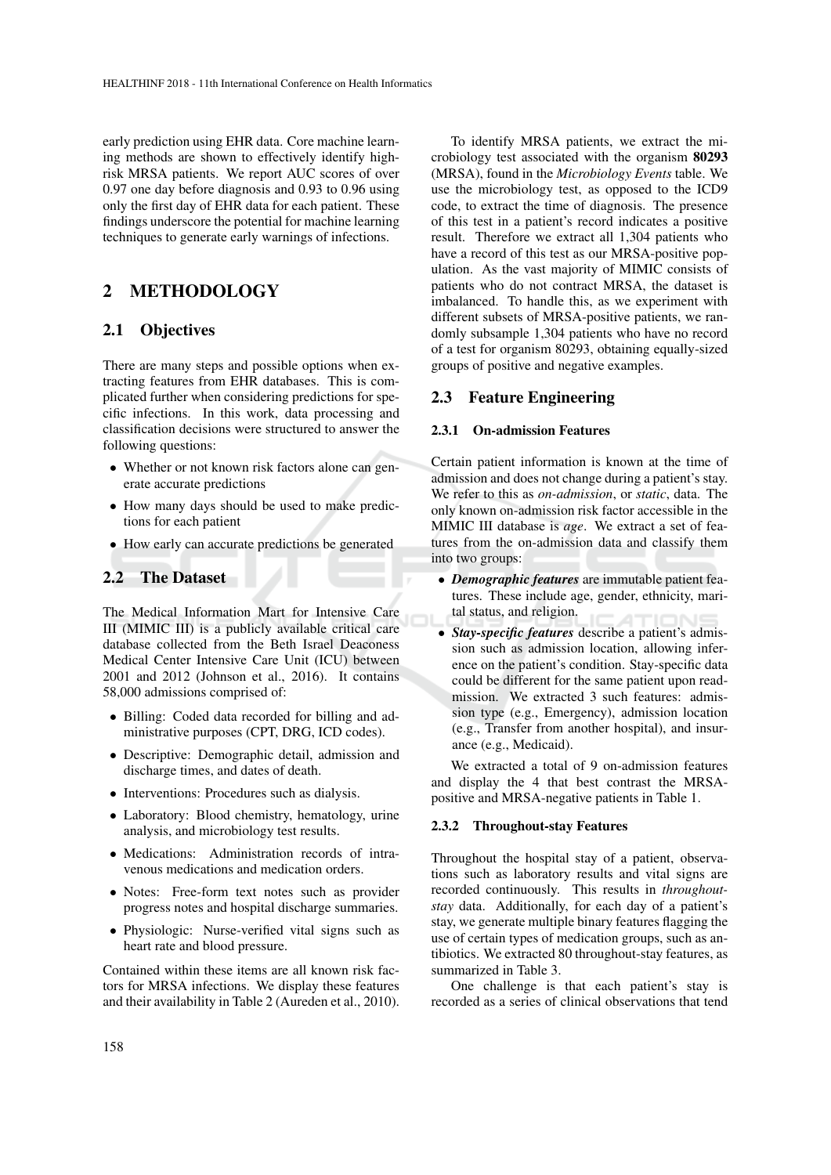early prediction using EHR data. Core machine learning methods are shown to effectively identify highrisk MRSA patients. We report AUC scores of over 0.97 one day before diagnosis and 0.93 to 0.96 using only the first day of EHR data for each patient. These findings underscore the potential for machine learning techniques to generate early warnings of infections.

# 2 METHODOLOGY

## 2.1 Objectives

There are many steps and possible options when extracting features from EHR databases. This is complicated further when considering predictions for specific infections. In this work, data processing and classification decisions were structured to answer the following questions:

- Whether or not known risk factors alone can generate accurate predictions
- How many days should be used to make predictions for each patient
- How early can accurate predictions be generated

## 2.2 The Dataset

The Medical Information Mart for Intensive Care III (MIMIC III) is a publicly available critical care database collected from the Beth Israel Deaconess Medical Center Intensive Care Unit (ICU) between 2001 and 2012 (Johnson et al., 2016). It contains 58,000 admissions comprised of:

- Billing: Coded data recorded for billing and administrative purposes (CPT, DRG, ICD codes).
- Descriptive: Demographic detail, admission and discharge times, and dates of death.
- Interventions: Procedures such as dialysis.
- Laboratory: Blood chemistry, hematology, urine analysis, and microbiology test results.
- Medications: Administration records of intravenous medications and medication orders.
- Notes: Free-form text notes such as provider progress notes and hospital discharge summaries.
- Physiologic: Nurse-verified vital signs such as heart rate and blood pressure.

Contained within these items are all known risk factors for MRSA infections. We display these features and their availability in Table 2 (Aureden et al., 2010).

To identify MRSA patients, we extract the microbiology test associated with the organism 80293 (MRSA), found in the *Microbiology Events* table. We use the microbiology test, as opposed to the ICD9 code, to extract the time of diagnosis. The presence of this test in a patient's record indicates a positive result. Therefore we extract all 1,304 patients who have a record of this test as our MRSA-positive population. As the vast majority of MIMIC consists of patients who do not contract MRSA, the dataset is imbalanced. To handle this, as we experiment with different subsets of MRSA-positive patients, we randomly subsample 1,304 patients who have no record of a test for organism 80293, obtaining equally-sized groups of positive and negative examples.

## 2.3 Feature Engineering

#### 2.3.1 On-admission Features

Certain patient information is known at the time of admission and does not change during a patient's stay. We refer to this as *on-admission*, or *static*, data. The only known on-admission risk factor accessible in the MIMIC III database is *age*. We extract a set of features from the on-admission data and classify them into two groups:

- *Demographic features* are immutable patient features. These include age, gender, ethnicity, marital status, and religion.
- *Stay-specific features* describe a patient's admission such as admission location, allowing inference on the patient's condition. Stay-specific data could be different for the same patient upon readmission. We extracted 3 such features: admission type (e.g., Emergency), admission location (e.g., Transfer from another hospital), and insurance (e.g., Medicaid).

We extracted a total of 9 on-admission features and display the 4 that best contrast the MRSApositive and MRSA-negative patients in Table 1.

#### 2.3.2 Throughout-stay Features

Throughout the hospital stay of a patient, observations such as laboratory results and vital signs are recorded continuously. This results in *throughoutstay* data. Additionally, for each day of a patient's stay, we generate multiple binary features flagging the use of certain types of medication groups, such as antibiotics. We extracted 80 throughout-stay features, as summarized in Table 3.

One challenge is that each patient's stay is recorded as a series of clinical observations that tend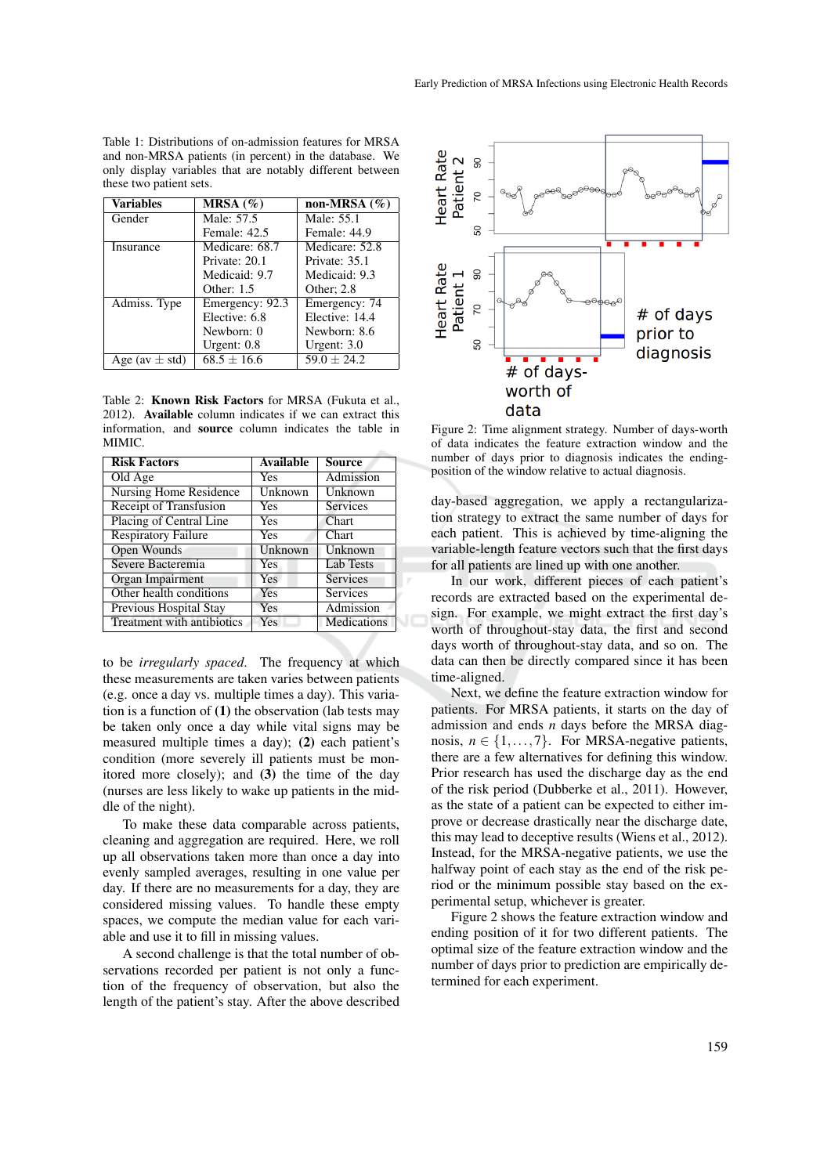Table 1: Distributions of on-admission features for MRSA and non-MRSA patients (in percent) in the database. We only display variables that are notably different between these two patient sets.

| $\overline{\text{Variables}}$ | $\overline{\text{MRSA}}$ (%) | non-MRSA $(\% )$ |
|-------------------------------|------------------------------|------------------|
| Gender                        | Male: 57.5                   | Male: 55.1       |
|                               | Female: 42.5                 | Female: 44.9     |
| Insurance                     | Medicare: 68.7               | Medicare: 52.8   |
|                               | Private: 20.1                | Private: 35.1    |
|                               | Medicaid: 9.7                | Medicaid: 9.3    |
|                               | Other: $1.5$                 | Other; 2.8       |
| Admiss. Type                  | Emergency: 92.3              | Emergency: 74    |
|                               | Elective: 6.8                | Elective: 14.4   |
|                               | Newborn: 0                   | Newborn: 8.6     |
|                               | Urgent: $0.8$                | Urgent: $3.0$    |
| Age (av $\pm$ std)            | $68.5 \pm 16.6$              | $59.0 \pm 24.2$  |

Table 2: Known Risk Factors for MRSA (Fukuta et al., 2012). Available column indicates if we can extract this information, and source column indicates the table in MIMIC.

| <b>Risk Factors</b>           | Available | <b>Source</b>   |
|-------------------------------|-----------|-----------------|
| Old Age                       | Yes       | Admission       |
| <b>Nursing Home Residence</b> | Unknown   | Unknown         |
| Receipt of Transfusion        | Yes       | <b>Services</b> |
| Placing of Central Line       | Yes       | Chart           |
| <b>Respiratory Failure</b>    | Yes       | Chart           |
| Open Wounds                   | Unknown   | Unknown         |
| Severe Bacteremia             | Yes       | Lab Tests       |
| <b>Organ Impairment</b>       | Yes       | Services        |
| Other health conditions       | Yes       | Services        |
| Previous Hospital Stay        | Yes       | Admission       |
| Treatment with antibiotics    | Yes       | Medications     |

to be *irregularly spaced*. The frequency at which these measurements are taken varies between patients (e.g. once a day vs. multiple times a day). This variation is a function of  $(1)$  the observation (lab tests may be taken only once a day while vital signs may be measured multiple times a day); (2) each patient's condition (more severely ill patients must be monitored more closely); and (3) the time of the day (nurses are less likely to wake up patients in the middle of the night).

To make these data comparable across patients, cleaning and aggregation are required. Here, we roll up all observations taken more than once a day into evenly sampled averages, resulting in one value per day. If there are no measurements for a day, they are considered missing values. To handle these empty spaces, we compute the median value for each variable and use it to fill in missing values.

A second challenge is that the total number of observations recorded per patient is not only a function of the frequency of observation, but also the length of the patient's stay. After the above described



Figure 2: Time alignment strategy. Number of days-worth of data indicates the feature extraction window and the number of days prior to diagnosis indicates the endingposition of the window relative to actual diagnosis.

day-based aggregation, we apply a rectangularization strategy to extract the same number of days for each patient. This is achieved by time-aligning the variable-length feature vectors such that the first days for all patients are lined up with one another.

In our work, different pieces of each patient's records are extracted based on the experimental design. For example, we might extract the first day's worth of throughout-stay data, the first and second days worth of throughout-stay data, and so on. The data can then be directly compared since it has been time-aligned.

JC

Next, we define the feature extraction window for patients. For MRSA patients, it starts on the day of admission and ends *n* days before the MRSA diagnosis,  $n \in \{1, \ldots, 7\}$ . For MRSA-negative patients, there are a few alternatives for defining this window. Prior research has used the discharge day as the end of the risk period (Dubberke et al., 2011). However, as the state of a patient can be expected to either improve or decrease drastically near the discharge date, this may lead to deceptive results (Wiens et al., 2012). Instead, for the MRSA-negative patients, we use the halfway point of each stay as the end of the risk period or the minimum possible stay based on the experimental setup, whichever is greater.

Figure 2 shows the feature extraction window and ending position of it for two different patients. The optimal size of the feature extraction window and the number of days prior to prediction are empirically determined for each experiment.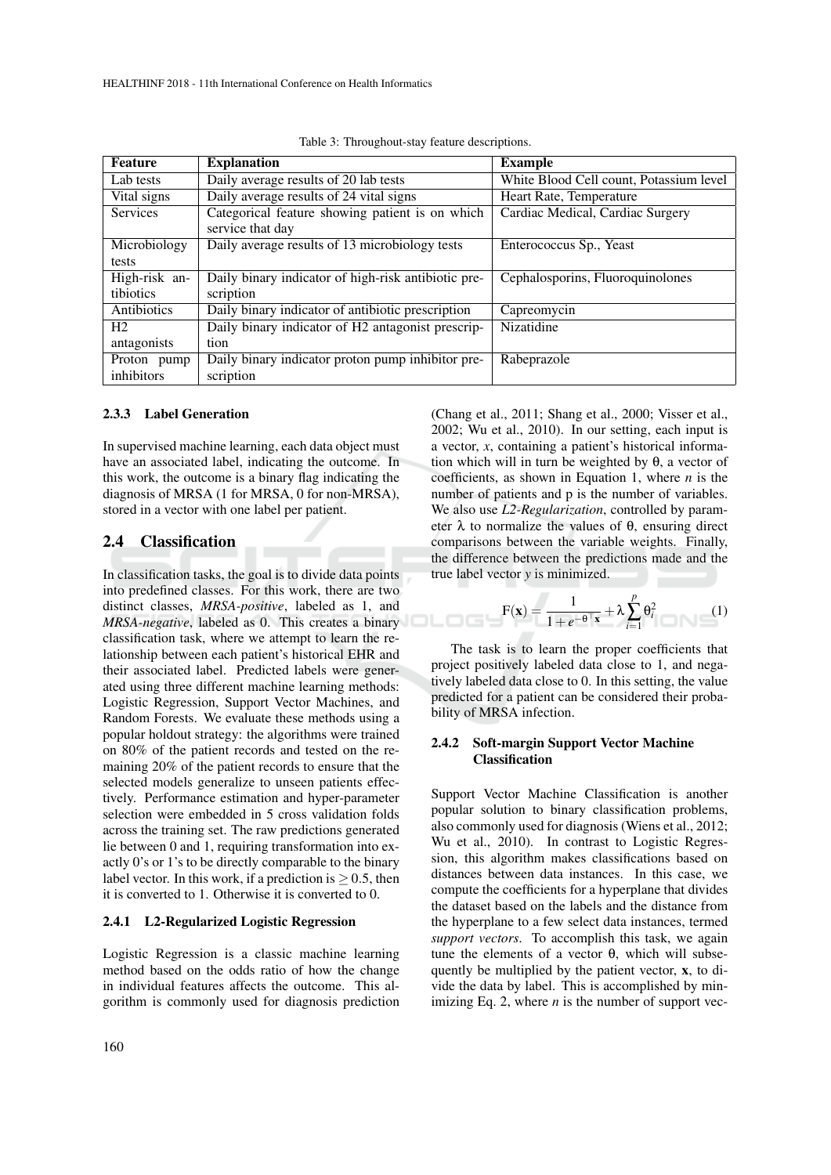| Feature         | <b>Explanation</b>                                  | <b>Example</b>                          |
|-----------------|-----------------------------------------------------|-----------------------------------------|
| Lab tests       | Daily average results of 20 lab tests               | White Blood Cell count, Potassium level |
| Vital signs     | Daily average results of 24 vital signs             | Heart Rate, Temperature                 |
| <b>Services</b> | Categorical feature showing patient is on which     | Cardiac Medical, Cardiac Surgery        |
|                 | service that day                                    |                                         |
| Microbiology    | Daily average results of 13 microbiology tests      | Enterococcus Sp., Yeast                 |
| tests           |                                                     |                                         |
| High-risk an-   | Daily binary indicator of high-risk antibiotic pre- | Cephalosporins, Fluoroquinolones        |
| tibiotics       | scription                                           |                                         |
| Antibiotics     | Daily binary indicator of antibiotic prescription   | Capreomycin                             |
| H <sub>2</sub>  | Daily binary indicator of H2 antagonist prescrip-   | Nizatidine                              |
| antagonists     | tion                                                |                                         |
| Proton pump     | Daily binary indicator proton pump inhibitor pre-   | Rabeprazole                             |
| inhibitors      | scription                                           |                                         |

Table 3: Throughout-stay feature descriptions.

#### 2.3.3 Label Generation

In supervised machine learning, each data object must have an associated label, indicating the outcome. In this work, the outcome is a binary flag indicating the diagnosis of MRSA (1 for MRSA, 0 for non-MRSA), stored in a vector with one label per patient.

## 2.4 Classification

In classification tasks, the goal is to divide data points into predefined classes. For this work, there are two distinct classes, *MRSA-positive*, labeled as 1, and *MRSA-negative*, labeled as 0. This creates a binary classification task, where we attempt to learn the relationship between each patient's historical EHR and their associated label. Predicted labels were generated using three different machine learning methods: Logistic Regression, Support Vector Machines, and Random Forests. We evaluate these methods using a popular holdout strategy: the algorithms were trained on 80% of the patient records and tested on the remaining 20% of the patient records to ensure that the selected models generalize to unseen patients effectively. Performance estimation and hyper-parameter selection were embedded in 5 cross validation folds across the training set. The raw predictions generated lie between 0 and 1, requiring transformation into exactly 0's or 1's to be directly comparable to the binary label vector. In this work, if a prediction is  $> 0.5$ , then it is converted to 1. Otherwise it is converted to 0.

#### 2.4.1 L2-Regularized Logistic Regression

Logistic Regression is a classic machine learning method based on the odds ratio of how the change in individual features affects the outcome. This algorithm is commonly used for diagnosis prediction

(Chang et al., 2011; Shang et al., 2000; Visser et al., 2002; Wu et al., 2010). In our setting, each input is a vector, *x*, containing a patient's historical information which will in turn be weighted by θ, a vector of coefficients, as shown in Equation 1, where  $n$  is the number of patients and p is the number of variables. We also use *L2-Regularization*, controlled by parameter  $\lambda$  to normalize the values of  $\theta$ , ensuring direct comparisons between the variable weights. Finally, the difference between the predictions made and the true label vector *y* is minimized.

$$
F(\mathbf{x}) = \frac{1}{1 + e^{-\theta^\top \mathbf{x}}} + \lambda \sum_{i=1}^p \theta_i^2 \tag{1}
$$

The task is to learn the proper coefficients that project positively labeled data close to 1, and negatively labeled data close to 0. In this setting, the value predicted for a patient can be considered their probability of MRSA infection.

#### 2.4.2 Soft-margin Support Vector Machine Classification

Support Vector Machine Classification is another popular solution to binary classification problems, also commonly used for diagnosis (Wiens et al., 2012; Wu et al., 2010). In contrast to Logistic Regression, this algorithm makes classifications based on distances between data instances. In this case, we compute the coefficients for a hyperplane that divides the dataset based on the labels and the distance from the hyperplane to a few select data instances, termed *support vectors*. To accomplish this task, we again tune the elements of a vector θ, which will subsequently be multiplied by the patient vector, x, to divide the data by label. This is accomplished by minimizing Eq. 2, where *n* is the number of support vec-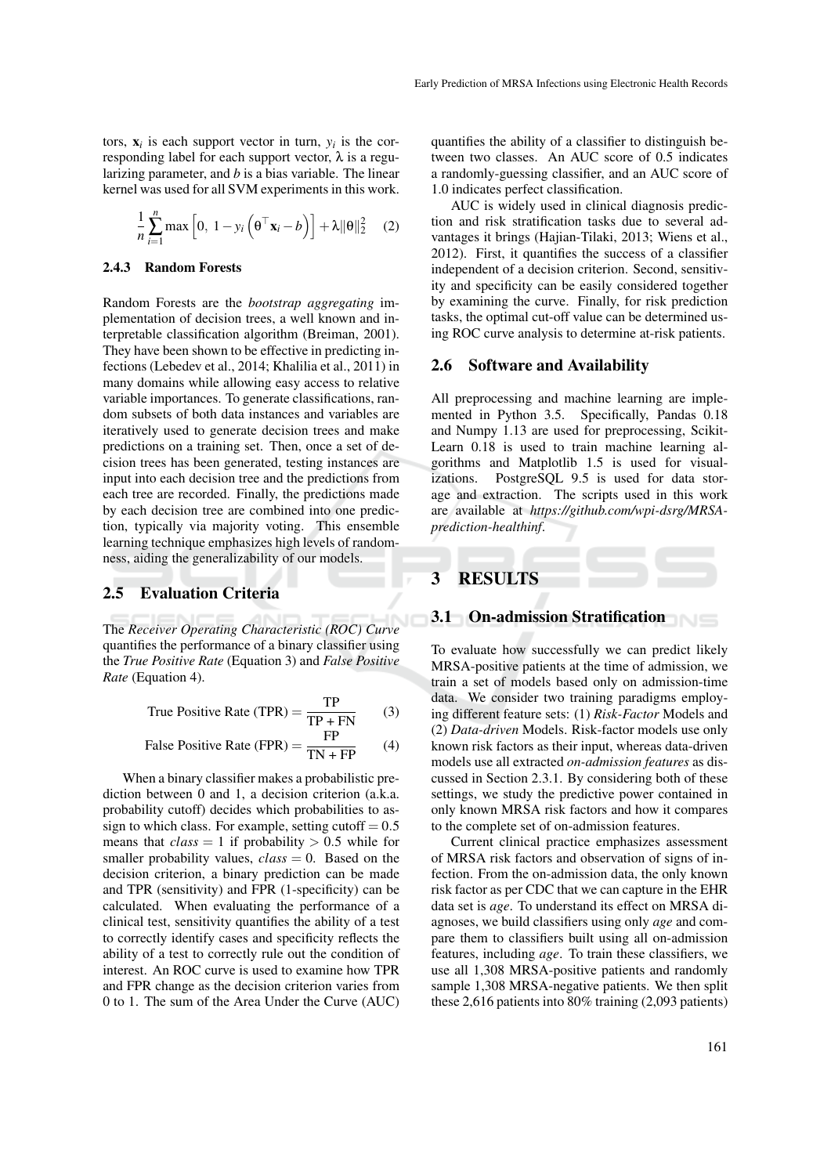tors,  $\mathbf{x}_i$  is each support vector in turn,  $y_i$  is the corresponding label for each support vector, λ is a regularizing parameter, and *b* is a bias variable. The linear kernel was used for all SVM experiments in this work.

$$
\frac{1}{n}\sum_{i=1}^{n}\max\left[0, 1 - y_i\left(\mathbf{\theta}^\top \mathbf{x}_i - b\right)\right] + \lambda \|\mathbf{\theta}\|_2^2 \quad (2)
$$

#### 2.4.3 Random Forests

Random Forests are the *bootstrap aggregating* implementation of decision trees, a well known and interpretable classification algorithm (Breiman, 2001). They have been shown to be effective in predicting infections (Lebedev et al., 2014; Khalilia et al., 2011) in many domains while allowing easy access to relative variable importances. To generate classifications, random subsets of both data instances and variables are iteratively used to generate decision trees and make predictions on a training set. Then, once a set of decision trees has been generated, testing instances are input into each decision tree and the predictions from each tree are recorded. Finally, the predictions made by each decision tree are combined into one prediction, typically via majority voting. This ensemble learning technique emphasizes high levels of randomness, aiding the generalizability of our models.

## 2.5 Evaluation Criteria

The *Receiver Operating Characteristic (ROC) Curve* quantifies the performance of a binary classifier using the *True Positive Rate* (Equation 3) and *False Positive Rate* (Equation 4).

True Positive Rate (TPR) = 
$$
\frac{TP}{TP + FN}
$$
 (3)

False Positive Rate (FPR) = 
$$
\frac{FP}{TN + FP}
$$
 (4)

When a binary classifier makes a probabilistic prediction between 0 and 1, a decision criterion (a.k.a. probability cutoff) decides which probabilities to assign to which class. For example, setting cutoff  $= 0.5$ means that  $class = 1$  if probability  $> 0.5$  while for smaller probability values,  $class = 0$ . Based on the decision criterion, a binary prediction can be made and TPR (sensitivity) and FPR (1-specificity) can be calculated. When evaluating the performance of a clinical test, sensitivity quantifies the ability of a test to correctly identify cases and specificity reflects the ability of a test to correctly rule out the condition of interest. An ROC curve is used to examine how TPR and FPR change as the decision criterion varies from 0 to 1. The sum of the Area Under the Curve (AUC)

quantifies the ability of a classifier to distinguish between two classes. An AUC score of 0.5 indicates a randomly-guessing classifier, and an AUC score of 1.0 indicates perfect classification.

AUC is widely used in clinical diagnosis prediction and risk stratification tasks due to several advantages it brings (Hajian-Tilaki, 2013; Wiens et al., 2012). First, it quantifies the success of a classifier independent of a decision criterion. Second, sensitivity and specificity can be easily considered together by examining the curve. Finally, for risk prediction tasks, the optimal cut-off value can be determined using ROC curve analysis to determine at-risk patients.

#### 2.6 Software and Availability

All preprocessing and machine learning are implemented in Python 3.5. Specifically, Pandas 0.18 and Numpy 1.13 are used for preprocessing, Scikit-Learn 0.18 is used to train machine learning algorithms and Matplotlib 1.5 is used for visualizations. PostgreSQL 9.5 is used for data storage and extraction. The scripts used in this work are available at *https://github.com/wpi-dsrg/MRSAprediction-healthinf*.

# 3 RESULTS

## 3.1 On-admission Stratification

To evaluate how successfully we can predict likely MRSA-positive patients at the time of admission, we train a set of models based only on admission-time data. We consider two training paradigms employing different feature sets: (1) *Risk-Factor* Models and (2) *Data-driven* Models. Risk-factor models use only known risk factors as their input, whereas data-driven models use all extracted *on-admission features* as discussed in Section 2.3.1. By considering both of these settings, we study the predictive power contained in only known MRSA risk factors and how it compares to the complete set of on-admission features.

Current clinical practice emphasizes assessment of MRSA risk factors and observation of signs of infection. From the on-admission data, the only known risk factor as per CDC that we can capture in the EHR data set is *age*. To understand its effect on MRSA diagnoses, we build classifiers using only *age* and compare them to classifiers built using all on-admission features, including *age*. To train these classifiers, we use all 1,308 MRSA-positive patients and randomly sample 1,308 MRSA-negative patients. We then split these 2,616 patients into 80% training (2,093 patients)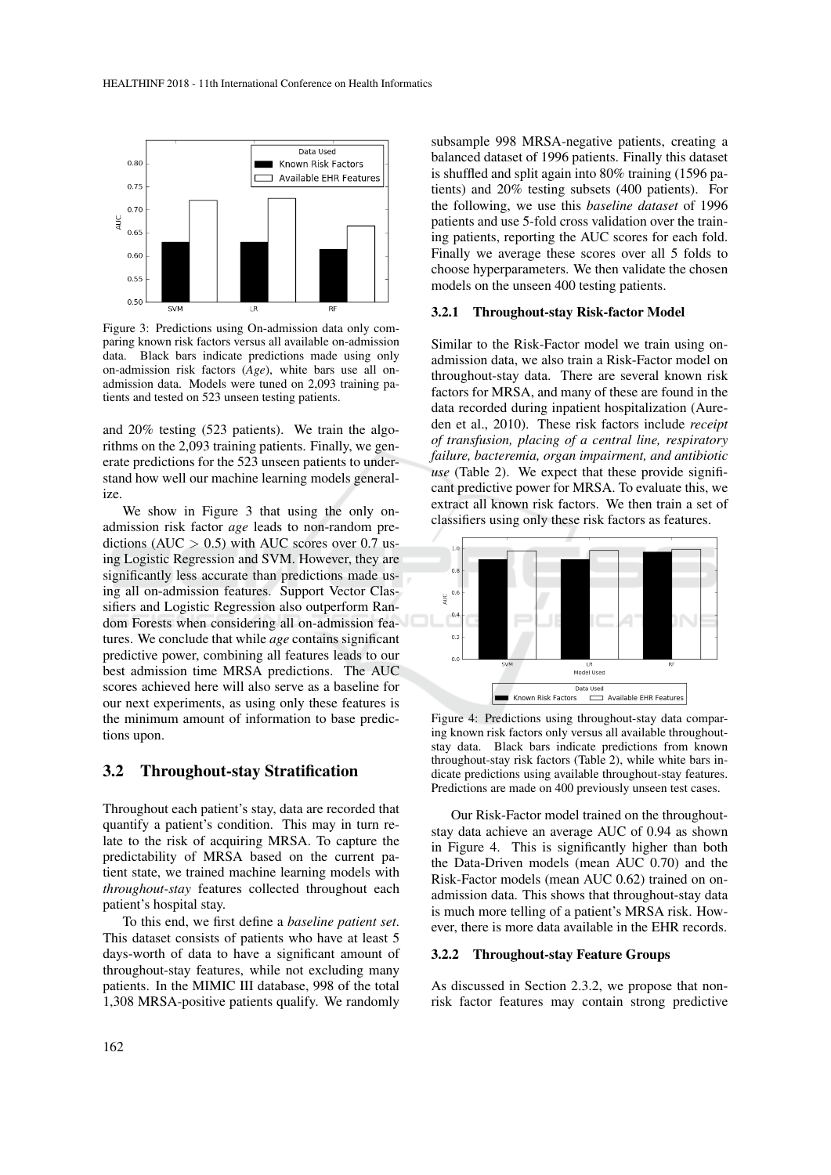

Figure 3: Predictions using On-admission data only comparing known risk factors versus all available on-admission data. Black bars indicate predictions made using only on-admission risk factors (*Age*), white bars use all onadmission data. Models were tuned on 2,093 training patients and tested on 523 unseen testing patients.

and 20% testing (523 patients). We train the algorithms on the 2,093 training patients. Finally, we generate predictions for the 523 unseen patients to understand how well our machine learning models generalize.

We show in Figure 3 that using the only onadmission risk factor *age* leads to non-random predictions ( $AUC > 0.5$ ) with AUC scores over 0.7 using Logistic Regression and SVM. However, they are significantly less accurate than predictions made using all on-admission features. Support Vector Classifiers and Logistic Regression also outperform Random Forests when considering all on-admission features. We conclude that while *age* contains significant predictive power, combining all features leads to our best admission time MRSA predictions. The AUC scores achieved here will also serve as a baseline for our next experiments, as using only these features is the minimum amount of information to base predictions upon.

#### 3.2 Throughout-stay Stratification

Throughout each patient's stay, data are recorded that quantify a patient's condition. This may in turn relate to the risk of acquiring MRSA. To capture the predictability of MRSA based on the current patient state, we trained machine learning models with *throughout-stay* features collected throughout each patient's hospital stay.

To this end, we first define a *baseline patient set*. This dataset consists of patients who have at least 5 days-worth of data to have a significant amount of throughout-stay features, while not excluding many patients. In the MIMIC III database, 998 of the total 1,308 MRSA-positive patients qualify. We randomly

subsample 998 MRSA-negative patients, creating a balanced dataset of 1996 patients. Finally this dataset is shuffled and split again into 80% training (1596 patients) and 20% testing subsets (400 patients). For the following, we use this *baseline dataset* of 1996 patients and use 5-fold cross validation over the training patients, reporting the AUC scores for each fold. Finally we average these scores over all 5 folds to choose hyperparameters. We then validate the chosen models on the unseen 400 testing patients.

#### 3.2.1 Throughout-stay Risk-factor Model

Similar to the Risk-Factor model we train using onadmission data, we also train a Risk-Factor model on throughout-stay data. There are several known risk factors for MRSA, and many of these are found in the data recorded during inpatient hospitalization (Aureden et al., 2010). These risk factors include *receipt of transfusion, placing of a central line, respiratory failure, bacteremia, organ impairment, and antibiotic use* (Table 2). We expect that these provide significant predictive power for MRSA. To evaluate this, we extract all known risk factors. We then train a set of classifiers using only these risk factors as features.



Figure 4: Predictions using throughout-stay data comparing known risk factors only versus all available throughoutstay data. Black bars indicate predictions from known throughout-stay risk factors (Table 2), while white bars indicate predictions using available throughout-stay features. Predictions are made on 400 previously unseen test cases.

Our Risk-Factor model trained on the throughoutstay data achieve an average AUC of 0.94 as shown in Figure 4. This is significantly higher than both the Data-Driven models (mean AUC 0.70) and the Risk-Factor models (mean AUC 0.62) trained on onadmission data. This shows that throughout-stay data is much more telling of a patient's MRSA risk. However, there is more data available in the EHR records.

#### 3.2.2 Throughout-stay Feature Groups

As discussed in Section 2.3.2, we propose that nonrisk factor features may contain strong predictive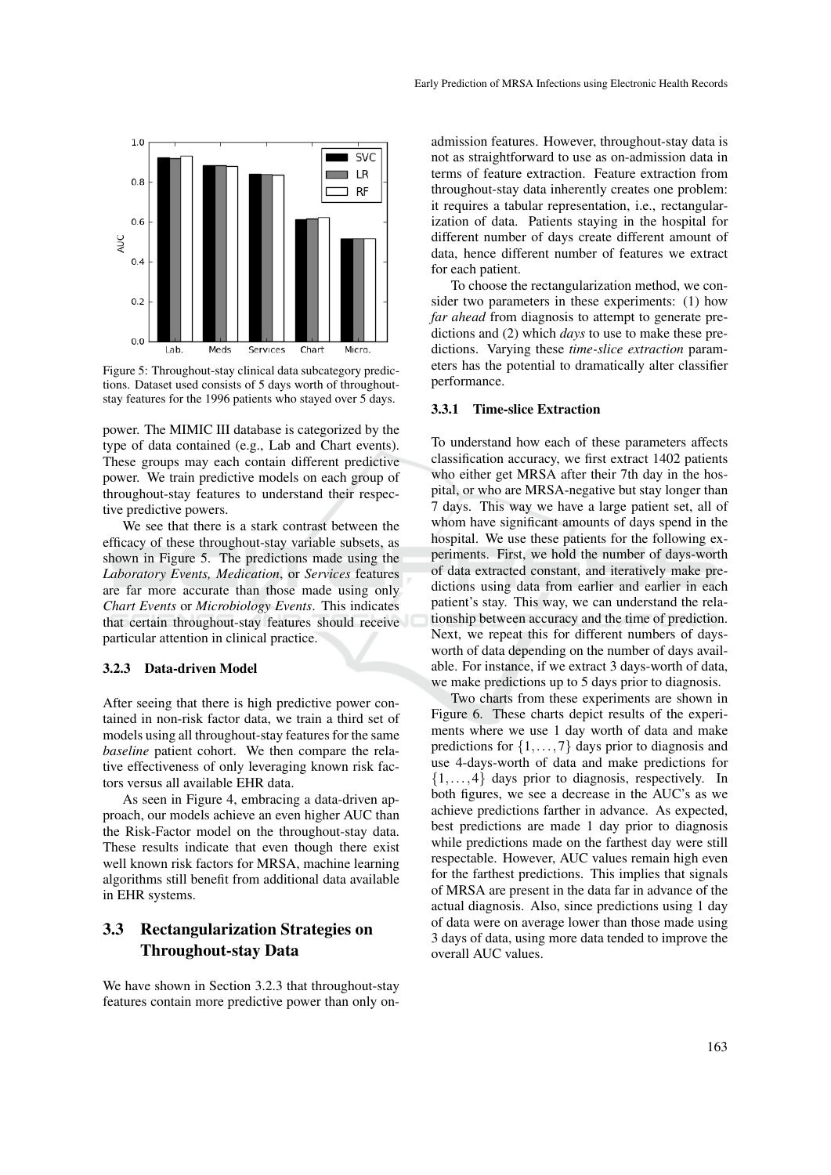

Figure 5: Throughout-stay clinical data subcategory predictions. Dataset used consists of 5 days worth of throughoutstay features for the 1996 patients who stayed over 5 days.

power. The MIMIC III database is categorized by the type of data contained (e.g., Lab and Chart events). These groups may each contain different predictive power. We train predictive models on each group of throughout-stay features to understand their respective predictive powers.

We see that there is a stark contrast between the efficacy of these throughout-stay variable subsets, as shown in Figure 5. The predictions made using the *Laboratory Events, Medication*, or *Services* features are far more accurate than those made using only *Chart Events* or *Microbiology Events*. This indicates that certain throughout-stay features should receive particular attention in clinical practice.

#### 3.2.3 Data-driven Model

After seeing that there is high predictive power contained in non-risk factor data, we train a third set of models using all throughout-stay features for the same *baseline* patient cohort. We then compare the relative effectiveness of only leveraging known risk factors versus all available EHR data.

As seen in Figure 4, embracing a data-driven approach, our models achieve an even higher AUC than the Risk-Factor model on the throughout-stay data. These results indicate that even though there exist well known risk factors for MRSA, machine learning algorithms still benefit from additional data available in EHR systems.

## 3.3 Rectangularization Strategies on Throughout-stay Data

We have shown in Section 3.2.3 that throughout-stay features contain more predictive power than only on-

admission features. However, throughout-stay data is not as straightforward to use as on-admission data in terms of feature extraction. Feature extraction from throughout-stay data inherently creates one problem: it requires a tabular representation, i.e., rectangularization of data. Patients staying in the hospital for different number of days create different amount of data, hence different number of features we extract for each patient.

To choose the rectangularization method, we consider two parameters in these experiments: (1) how *far ahead* from diagnosis to attempt to generate predictions and (2) which *days* to use to make these predictions. Varying these *time-slice extraction* parameters has the potential to dramatically alter classifier performance.

#### 3.3.1 Time-slice Extraction

To understand how each of these parameters affects classification accuracy, we first extract 1402 patients who either get MRSA after their 7th day in the hospital, or who are MRSA-negative but stay longer than 7 days. This way we have a large patient set, all of whom have significant amounts of days spend in the hospital. We use these patients for the following experiments. First, we hold the number of days-worth of data extracted constant, and iteratively make predictions using data from earlier and earlier in each patient's stay. This way, we can understand the relationship between accuracy and the time of prediction. Next, we repeat this for different numbers of daysworth of data depending on the number of days available. For instance, if we extract 3 days-worth of data, we make predictions up to 5 days prior to diagnosis.

Two charts from these experiments are shown in Figure 6. These charts depict results of the experiments where we use 1 day worth of data and make predictions for  $\{1, \ldots, 7\}$  days prior to diagnosis and use 4-days-worth of data and make predictions for  $\{1,\ldots,4\}$  days prior to diagnosis, respectively. In both figures, we see a decrease in the AUC's as we achieve predictions farther in advance. As expected, best predictions are made 1 day prior to diagnosis while predictions made on the farthest day were still respectable. However, AUC values remain high even for the farthest predictions. This implies that signals of MRSA are present in the data far in advance of the actual diagnosis. Also, since predictions using 1 day of data were on average lower than those made using 3 days of data, using more data tended to improve the overall AUC values.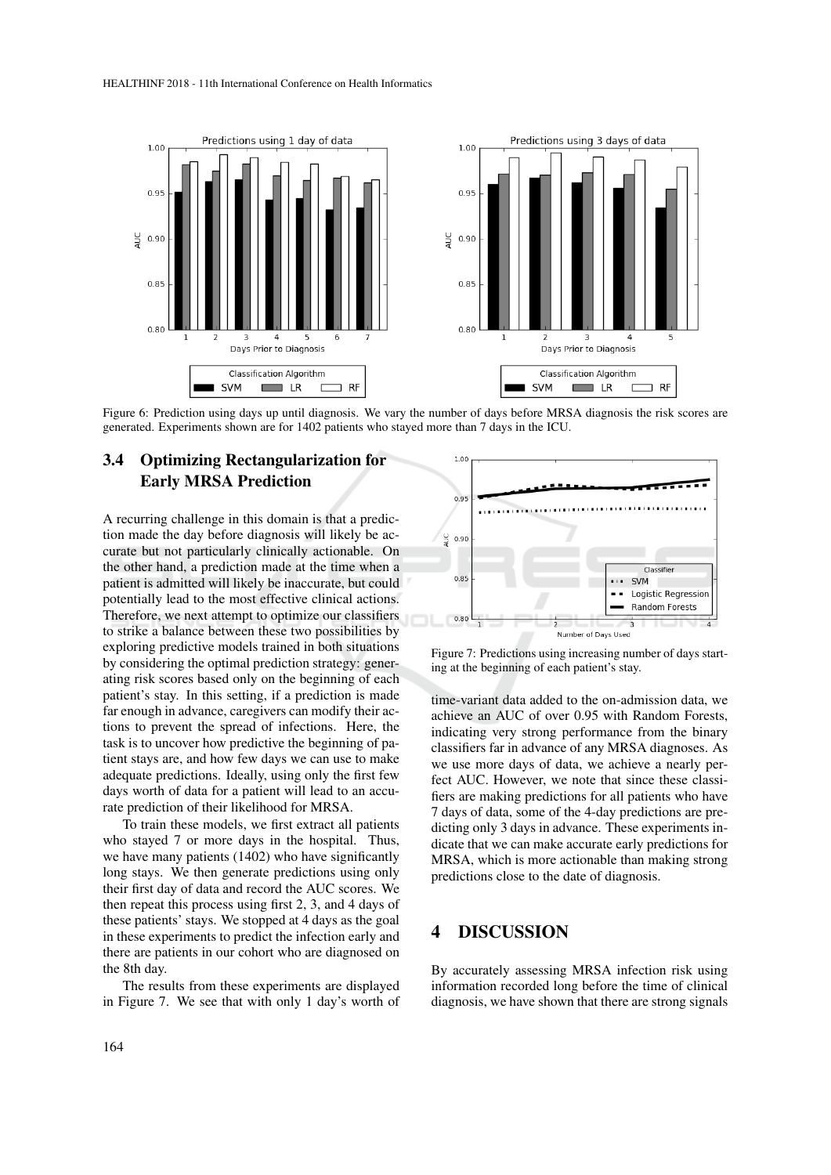

Figure 6: Prediction using days up until diagnosis. We vary the number of days before MRSA diagnosis the risk scores are generated. Experiments shown are for 1402 patients who stayed more than 7 days in the ICU.

# 3.4 Optimizing Rectangularization for Early MRSA Prediction

A recurring challenge in this domain is that a prediction made the day before diagnosis will likely be accurate but not particularly clinically actionable. On the other hand, a prediction made at the time when a patient is admitted will likely be inaccurate, but could potentially lead to the most effective clinical actions. Therefore, we next attempt to optimize our classifiers to strike a balance between these two possibilities by exploring predictive models trained in both situations by considering the optimal prediction strategy: generating risk scores based only on the beginning of each patient's stay. In this setting, if a prediction is made far enough in advance, caregivers can modify their actions to prevent the spread of infections. Here, the task is to uncover how predictive the beginning of patient stays are, and how few days we can use to make adequate predictions. Ideally, using only the first few days worth of data for a patient will lead to an accurate prediction of their likelihood for MRSA.

To train these models, we first extract all patients who stayed 7 or more days in the hospital. Thus, we have many patients (1402) who have significantly long stays. We then generate predictions using only their first day of data and record the AUC scores. We then repeat this process using first 2, 3, and 4 days of these patients' stays. We stopped at 4 days as the goal in these experiments to predict the infection early and there are patients in our cohort who are diagnosed on the 8th day.

The results from these experiments are displayed in Figure 7. We see that with only 1 day's worth of



Figure 7: Predictions using increasing number of days starting at the beginning of each patient's stay.

time-variant data added to the on-admission data, we achieve an AUC of over 0.95 with Random Forests, indicating very strong performance from the binary classifiers far in advance of any MRSA diagnoses. As we use more days of data, we achieve a nearly perfect AUC. However, we note that since these classifiers are making predictions for all patients who have 7 days of data, some of the 4-day predictions are predicting only 3 days in advance. These experiments indicate that we can make accurate early predictions for MRSA, which is more actionable than making strong predictions close to the date of diagnosis.

## 4 DISCUSSION

By accurately assessing MRSA infection risk using information recorded long before the time of clinical diagnosis, we have shown that there are strong signals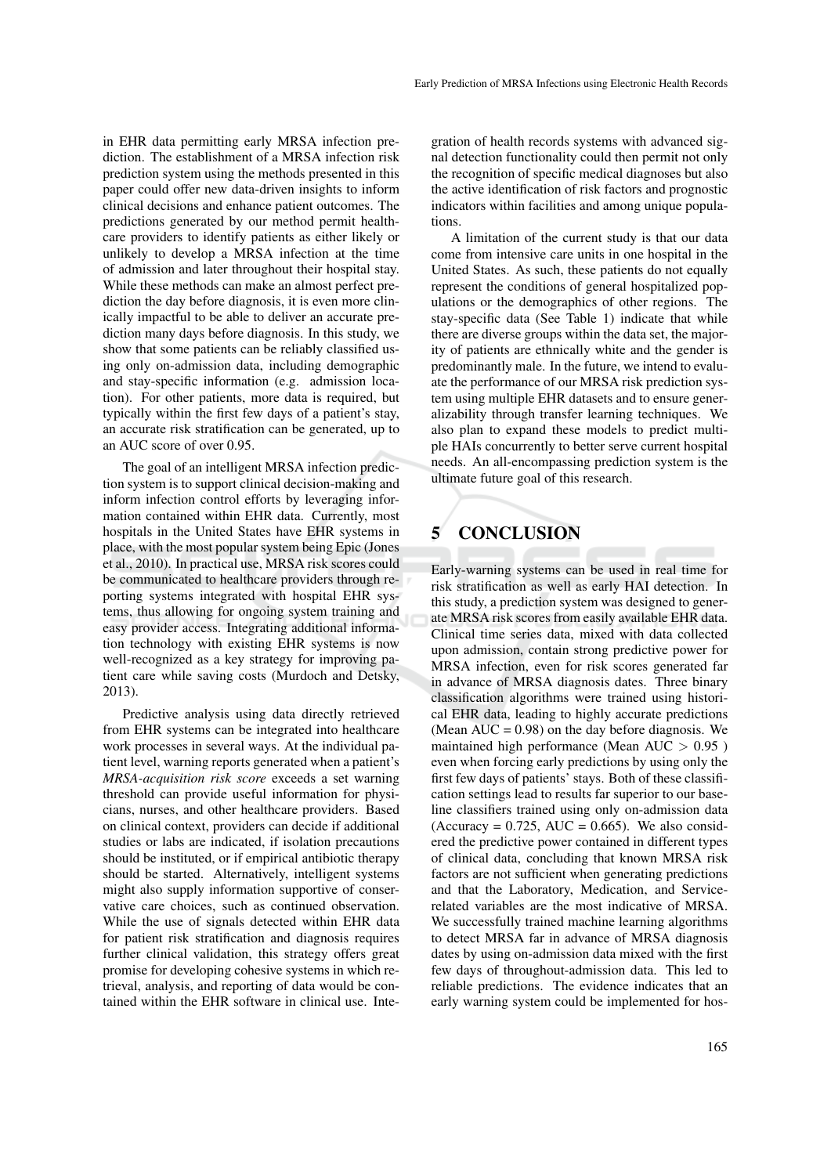in EHR data permitting early MRSA infection prediction. The establishment of a MRSA infection risk prediction system using the methods presented in this paper could offer new data-driven insights to inform clinical decisions and enhance patient outcomes. The predictions generated by our method permit healthcare providers to identify patients as either likely or unlikely to develop a MRSA infection at the time of admission and later throughout their hospital stay. While these methods can make an almost perfect prediction the day before diagnosis, it is even more clinically impactful to be able to deliver an accurate prediction many days before diagnosis. In this study, we show that some patients can be reliably classified using only on-admission data, including demographic and stay-specific information (e.g. admission location). For other patients, more data is required, but typically within the first few days of a patient's stay, an accurate risk stratification can be generated, up to an AUC score of over 0.95.

The goal of an intelligent MRSA infection prediction system is to support clinical decision-making and inform infection control efforts by leveraging information contained within EHR data. Currently, most hospitals in the United States have EHR systems in place, with the most popular system being Epic (Jones et al., 2010). In practical use, MRSA risk scores could be communicated to healthcare providers through reporting systems integrated with hospital EHR systems, thus allowing for ongoing system training and easy provider access. Integrating additional information technology with existing EHR systems is now well-recognized as a key strategy for improving patient care while saving costs (Murdoch and Detsky, 2013).

Predictive analysis using data directly retrieved from EHR systems can be integrated into healthcare work processes in several ways. At the individual patient level, warning reports generated when a patient's *MRSA-acquisition risk score* exceeds a set warning threshold can provide useful information for physicians, nurses, and other healthcare providers. Based on clinical context, providers can decide if additional studies or labs are indicated, if isolation precautions should be instituted, or if empirical antibiotic therapy should be started. Alternatively, intelligent systems might also supply information supportive of conservative care choices, such as continued observation. While the use of signals detected within EHR data for patient risk stratification and diagnosis requires further clinical validation, this strategy offers great promise for developing cohesive systems in which retrieval, analysis, and reporting of data would be contained within the EHR software in clinical use. Integration of health records systems with advanced signal detection functionality could then permit not only the recognition of specific medical diagnoses but also the active identification of risk factors and prognostic indicators within facilities and among unique populations.

A limitation of the current study is that our data come from intensive care units in one hospital in the United States. As such, these patients do not equally represent the conditions of general hospitalized populations or the demographics of other regions. The stay-specific data (See Table 1) indicate that while there are diverse groups within the data set, the majority of patients are ethnically white and the gender is predominantly male. In the future, we intend to evaluate the performance of our MRSA risk prediction system using multiple EHR datasets and to ensure generalizability through transfer learning techniques. We also plan to expand these models to predict multiple HAIs concurrently to better serve current hospital needs. An all-encompassing prediction system is the ultimate future goal of this research.

# 5 CONCLUSION

Early-warning systems can be used in real time for risk stratification as well as early HAI detection. In this study, a prediction system was designed to generate MRSA risk scores from easily available EHR data. Clinical time series data, mixed with data collected upon admission, contain strong predictive power for MRSA infection, even for risk scores generated far in advance of MRSA diagnosis dates. Three binary classification algorithms were trained using historical EHR data, leading to highly accurate predictions (Mean  $\overline{AUC} = 0.98$ ) on the day before diagnosis. We maintained high performance (Mean AUC  $> 0.95$ ) even when forcing early predictions by using only the first few days of patients' stays. Both of these classification settings lead to results far superior to our baseline classifiers trained using only on-admission data (Accuracy =  $0.725$ , AUC =  $0.665$ ). We also considered the predictive power contained in different types of clinical data, concluding that known MRSA risk factors are not sufficient when generating predictions and that the Laboratory, Medication, and Servicerelated variables are the most indicative of MRSA. We successfully trained machine learning algorithms to detect MRSA far in advance of MRSA diagnosis dates by using on-admission data mixed with the first few days of throughout-admission data. This led to reliable predictions. The evidence indicates that an early warning system could be implemented for hos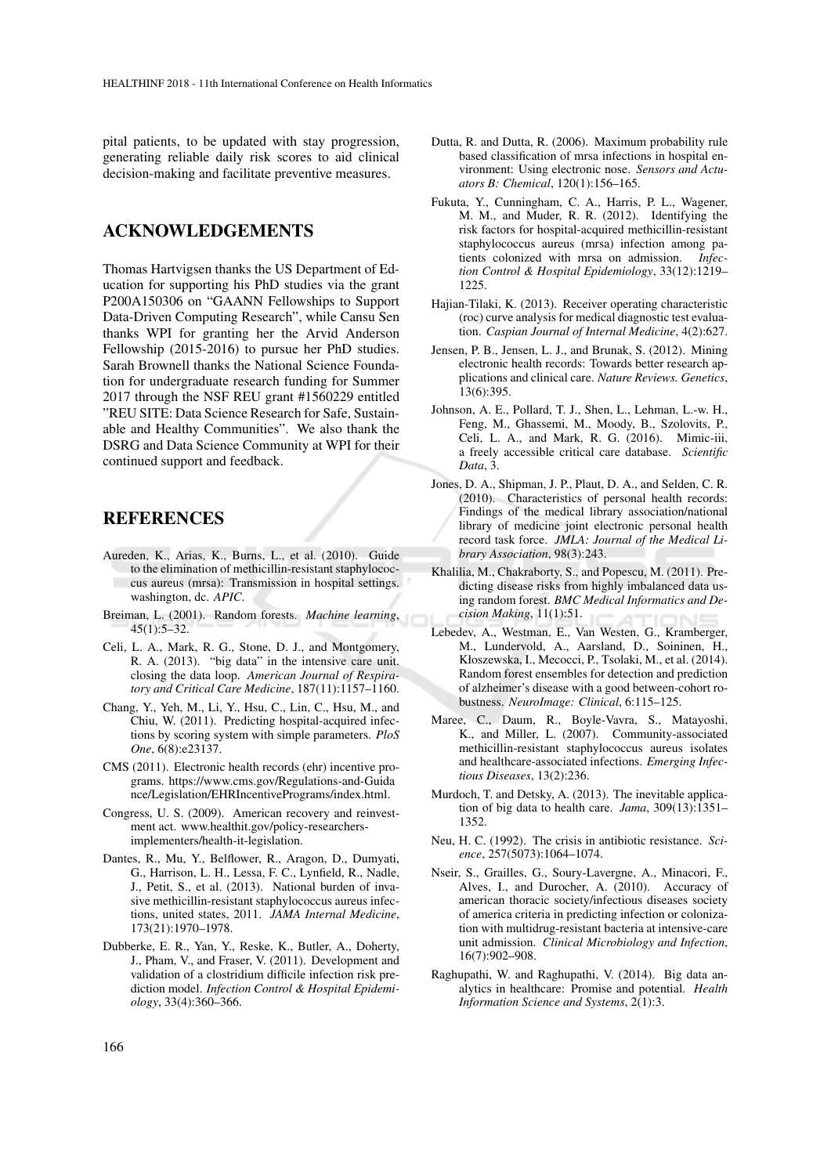pital patients, to be updated with stay progression, generating reliable daily risk scores to aid clinical decision-making and facilitate preventive measures.

## ACKNOWLEDGEMENTS

Thomas Hartvigsen thanks the US Department of Education for supporting his PhD studies via the grant P200A150306 on "GAANN Fellowships to Support Data-Driven Computing Research", while Cansu Sen thanks WPI for granting her the Arvid Anderson Fellowship (2015-2016) to pursue her PhD studies. Sarah Brownell thanks the National Science Foundation for undergraduate research funding for Summer 2017 through the NSF REU grant #1560229 entitled "REU SITE: Data Science Research for Safe, Sustainable and Healthy Communities". We also thank the DSRG and Data Science Community at WPI for their continued support and feedback.

## REFERENCES

- Aureden, K., Arias, K., Burns, L., et al. (2010). Guide to the elimination of methicillin-resistant staphylococcus aureus (mrsa): Transmission in hospital settings. washington, dc. *APIC*.
- Breiman, L. (2001). Random forests. *Machine learning*, 45(1):5–32.
- Celi, L. A., Mark, R. G., Stone, D. J., and Montgomery, R. A. (2013). "big data" in the intensive care unit. closing the data loop. *American Journal of Respiratory and Critical Care Medicine*, 187(11):1157–1160.
- Chang, Y., Yeh, M., Li, Y., Hsu, C., Lin, C., Hsu, M., and Chiu, W. (2011). Predicting hospital-acquired infections by scoring system with simple parameters. *PloS One*, 6(8):e23137.
- CMS (2011). Electronic health records (ehr) incentive programs. https://www.cms.gov/Regulations-and-Guida nce/Legislation/EHRIncentivePrograms/index.html.
- Congress, U. S. (2009). American recovery and reinvestment act. www.healthit.gov/policy-researchersimplementers/health-it-legislation.
- Dantes, R., Mu, Y., Belflower, R., Aragon, D., Dumyati, G., Harrison, L. H., Lessa, F. C., Lynfield, R., Nadle, J., Petit, S., et al. (2013). National burden of invasive methicillin-resistant staphylococcus aureus infections, united states, 2011. *JAMA Internal Medicine*, 173(21):1970–1978.
- Dubberke, E. R., Yan, Y., Reske, K., Butler, A., Doherty, J., Pham, V., and Fraser, V. (2011). Development and validation of a clostridium difficile infection risk prediction model. *Infection Control & Hospital Epidemiology*, 33(4):360–366.
- Dutta, R. and Dutta, R. (2006). Maximum probability rule based classification of mrsa infections in hospital environment: Using electronic nose. *Sensors and Actuators B: Chemical*, 120(1):156–165.
- Fukuta, Y., Cunningham, C. A., Harris, P. L., Wagener, M. M., and Muder, R. R. (2012). Identifying the risk factors for hospital-acquired methicillin-resistant staphylococcus aureus (mrsa) infection among patients colonized with mrsa on admission. *Infection Control & Hospital Epidemiology*, 33(12):1219– 1225.
- Hajian-Tilaki, K. (2013). Receiver operating characteristic (roc) curve analysis for medical diagnostic test evaluation. *Caspian Journal of Internal Medicine*, 4(2):627.
- Jensen, P. B., Jensen, L. J., and Brunak, S. (2012). Mining electronic health records: Towards better research applications and clinical care. *Nature Reviews. Genetics*, 13(6):395.
- Johnson, A. E., Pollard, T. J., Shen, L., Lehman, L.-w. H., Feng, M., Ghassemi, M., Moody, B., Szolovits, P., Celi, L. A., and Mark, R. G. (2016). Mimic-iii, a freely accessible critical care database. *Scientific Data*, 3.
- Jones, D. A., Shipman, J. P., Plaut, D. A., and Selden, C. R. (2010). Characteristics of personal health records: Findings of the medical library association/national library of medicine joint electronic personal health record task force. *JMLA: Journal of the Medical Library Association*, 98(3):243.
- Khalilia, M., Chakraborty, S., and Popescu, M. (2011). Predicting disease risks from highly imbalanced data using random forest. *BMC Medical Informatics and Decision Making*, 11(1):51.
- Lebedev, A., Westman, E., Van Westen, G., Kramberger, M., Lundervold, A., Aarsland, D., Soininen, H., Kłoszewska, I., Mecocci, P., Tsolaki, M., et al. (2014). Random forest ensembles for detection and prediction of alzheimer's disease with a good between-cohort robustness. *NeuroImage: Clinical*, 6:115–125.
- Maree, C., Daum, R., Boyle-Vavra, S., Matayoshi, K., and Miller, L. (2007). Community-associated methicillin-resistant staphylococcus aureus isolates and healthcare-associated infections. *Emerging Infectious Diseases*, 13(2):236.
- Murdoch, T. and Detsky, A. (2013). The inevitable application of big data to health care. *Jama*, 309(13):1351– 1352.
- Neu, H. C. (1992). The crisis in antibiotic resistance. *Science*, 257(5073):1064–1074.
- Nseir, S., Grailles, G., Soury-Lavergne, A., Minacori, F., Alves, I., and Durocher, A. (2010). Accuracy of american thoracic society/infectious diseases society of america criteria in predicting infection or colonization with multidrug-resistant bacteria at intensive-care unit admission. *Clinical Microbiology and Infection*, 16(7):902–908.
- Raghupathi, W. and Raghupathi, V. (2014). Big data analytics in healthcare: Promise and potential. *Health Information Science and Systems*, 2(1):3.